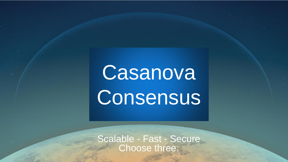# Casanova **Consensus**

Scalable - Fast - Secure Choose three.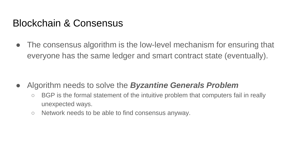#### Blockchain & Consensus

• The consensus algorithm is the low-level mechanism for ensuring that everyone has the same ledger and smart contract state (eventually).

- Algorithm needs to solve the *Byzantine Generals Problem*
	- BGP is the formal statement of the intuitive problem that computers fail in really unexpected ways.
	- Network needs to be able to find consensus anyway.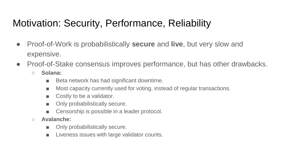# Motivation: Security, Performance, Reliability

- Proof-of-Work is probabilistically **secure** and **live**, but very slow and expensive.
- Proof-of-Stake consensus improves performance, but has other drawbacks.
	- **Solana:**
		- Beta network has had significant downtime.
		- Most capacity currently used for voting, instead of regular transactions.
		- Costly to be a validator.
		- Only probabilistically secure.
		- Censorship is possible in a leader protocol.
	- **Avalanche:** 
		- Only probabilistically secure.
		- Liveness issues with large validator counts.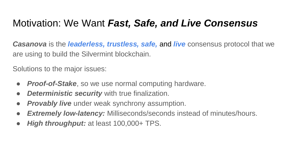# Motivation: We Want *Fast, Safe, and Live Consensus*

*Casanova* is the *leaderless, trustless, safe,* and *live* consensus protocol that we are using to build the Silvermint blockchain.

Solutions to the major issues:

- *Proof-of-Stake*, so we use normal computing hardware.
- **Deterministic security** with true finalization.
- *Provably live* under weak synchrony assumption.
- *Extremely low-latency:* Milliseconds/seconds instead of minutes/hours.
- *High throughput:* at least 100,000+ TPS.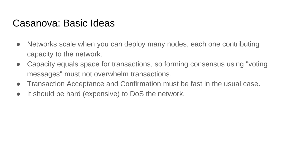#### Casanova: Basic Ideas

- Networks scale when you can deploy many nodes, each one contributing capacity to the network.
- Capacity equals space for transactions, so forming consensus using "voting" messages" must not overwhelm transactions.
- Transaction Acceptance and Confirmation must be fast in the usual case.
- It should be hard (expensive) to DoS the network.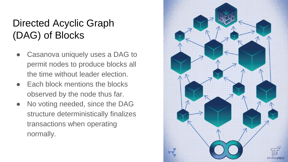# Directed Acyclic Graph (DAG) of Blocks

- Casanova uniquely uses a DAG to permit nodes to produce blocks all the time without leader election.
- Each block mentions the blocks observed by the node thus far.
- No voting needed, since the DAG structure deterministically finalizes transactions when operating normally.

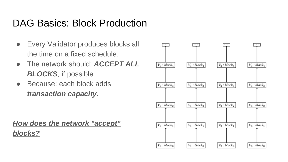#### DAG Basics: Block Production

- Every Validator produces blocks all the time on a fixed schedule.
- The network should: *ACCEPT ALL BLOCKS*, if possible.
- Because: each block adds *transaction capacity***.**

*How does the network "accept" blocks?*

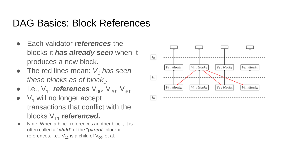### DAG Basics: Block References

- Each validator *references* the blocks it *has already seen* when it produces a new block.
- The red lines mean:  $V_1$  *has seen these blocks as of block*<sup>1</sup>.
- I.e.,  $V_{11}$  *references*  $V_{00}$ ,  $V_{20}$ ,  $V_{30}$ .
- $\bullet$  V<sub>1</sub> will no longer accept transactions that conflict with the blocks V<sub>11</sub> referenced.
- Note: When a block references another block, it is often called a "*child*" of the "*parent*" block it references. I.e.,  $V_{11}$  is a child of  $V_{00}$ , et al.

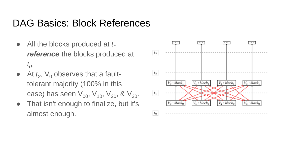#### DAG Basics: Block References

- All the blocks produced at *t<sub>1</sub> reference* the blocks produced at *t0* .
- $\bullet$  At  $t_2$ ,  $\vee_0$  observes that a faulttolerant majority (100% in this case) has seen  $V_{00}$ ,  $V_{10}$ ,  $V_{20}$ , &  $V_{30}$ .
- That isn't enough to finalize, but it's almost enough.

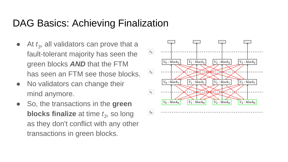#### DAG Basics: Achieving Finalization

- $\bullet$  At  $t_3$ , all validators can prove that a fault-tolerant majority has seen the green blocks *AND* that the FTM has seen an FTM see those blocks.
- No validators can change their mind anymore.
- So, the transactions in the **green blocks finalize** at time *t<sup>3</sup>* , so long as they don't conflict with any other transactions in green blocks.

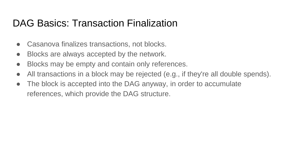#### DAG Basics: Transaction Finalization

- Casanova finalizes transactions, not blocks.
- Blocks are always accepted by the network.
- Blocks may be empty and contain only references.
- All transactions in a block may be rejected (e.g., if they're all double spends).
- The block is accepted into the DAG anyway, in order to accumulate references, which provide the DAG structure.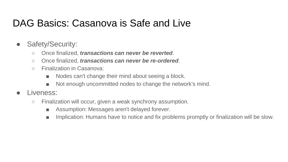### DAG Basics: Casanova is Safe and Live

- Safety/Security:
	- Once finalized, *transactions can never be reverted*.
	- Once finalized, *transactions can never be re-ordered*.
	- Finalization in Casanova:
		- Nodes can't change their mind about seeing a block.
		- Not enough uncommitted nodes to change the network's mind.
- I iveness:
	- Finalization will occur, given a weak synchrony assumption.
		- Assumption: Messages aren't delayed forever.
		- Implication: Humans have to notice and fix problems promptly or finalization will be slow.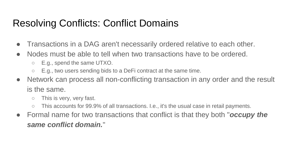# Resolving Conflicts: Conflict Domains

- Transactions in a DAG aren't necessarily ordered relative to each other.
- Nodes must be able to tell when two transactions have to be ordered.
	- E.g., spend the same UTXO.
	- $\circ$  E.g., two users sending bids to a DeFi contract at the same time.
- Network can process all non-conflicting transaction in any order and the result is the same.
	- This is very, very fast.
	- This accounts for 99.9% of all transactions. I.e., it's the usual case in retail payments.
- Formal name for two transactions that conflict is that they both "*occupy the same conflict domain.*"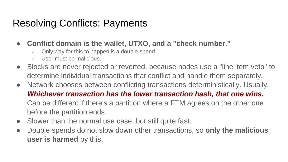#### Resolving Conflicts: Payments

- **Conflict domain is the wallet, UTXO, and a "check number."**
	- Only way for this to happen is a double-spend.
	- User must be malicious.
- Blocks are never rejected or reverted, because nodes use a "line item veto" to determine individual transactions that conflict and handle them separately.
- Network chooses between conflicting transactions deterministically. Usually, *Whichever transaction has the lower transaction hash, that one wins.* Can be different if there's a partition where a FTM agrees on the other one before the partition ends.
- Slower than the normal use case, but still quite fast.
- Double spends do not slow down other transactions, so **only the malicious user is harmed** by this.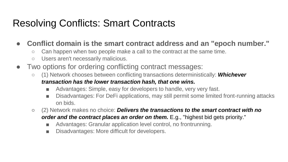### Resolving Conflicts: Smart Contracts

#### ● **Conflict domain is the smart contract address and an "epoch number."**

- Can happen when two people make a call to the contract at the same time.
- Users aren't necessarily malicious.
- Two options for ordering conflicting contract messages:
	- (1) Network chooses between conflicting transactions deterministically: *Whichever transaction has the lower transaction hash, that one wins.*
		- Advantages: Simple, easy for developers to handle, very very fast.
		- Disadvantages: For DeFi applications, may still permit some limited front-running attacks on bids.
	- (2) Network makes no choice: *Delivers the transactions to the smart contract with no order and the contract places an order on them.* E.g., "highest bid gets priority."
		- Advantages: Granular application level control, no frontrunning.
		- Disadvantages: More difficult for developers.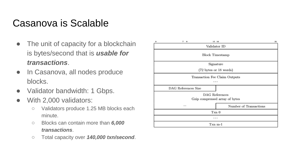# Casanova is Scalable

- The unit of capacity for a blockchain is bytes/second that is *usable for transactions*.
- In Casanova, all nodes produce blocks.
- Validator bandwidth: 1 Gbps.
- With 2,000 validators:
	- Validators produce 1.25 MB blocks each minute.
	- Blocks can contain more than *6,000 transactions*.
	- Total capacity over *140,000 txn/second*.

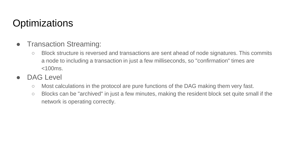# **Optimizations**

- Transaction Streaming:
	- Block structure is reversed and transactions are sent ahead of node signatures. This commits a node to including a transaction in just a few milliseconds, so "confirmation" times are <100ms.
- DAG Level
	- Most calculations in the protocol are pure functions of the DAG making them very fast.
	- Blocks can be "archived" in just a few minutes, making the resident block set quite small if the network is operating correctly.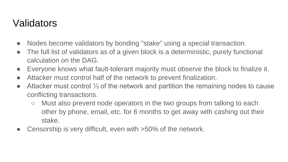#### Validators

- Nodes become validators by bonding "stake" using a special transaction.
- The full list of validators as of a given block is a deterministic, purely functional calculation on the DAG.
- Everyone knows what fault-tolerant majority must observe the block to finalize it.
- Attacker must control half of the network to prevent finalization.
- Attacker must control 1⁄3 of the network and partition the remaining nodes to cause conflicting transactions.
	- Must also prevent node operators in the two groups from talking to each other by phone, email, etc. for 6 months to get away with cashing out their stake.
- Censorship is very difficult, even with >50% of the network.